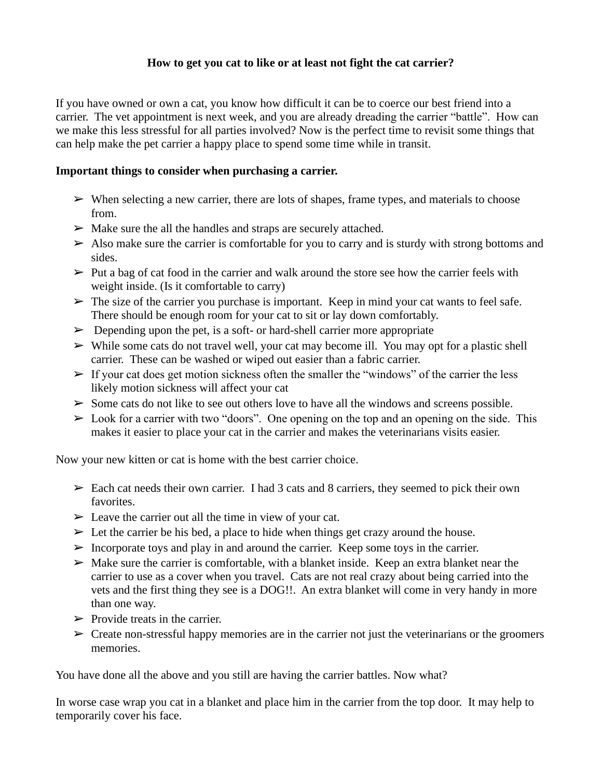## **How to get you cat to like or at least not fight the cat carrier?**

If you have owned or own a cat, you know how difficult it can be to coerce our best friend into a carrier. The vet appointment is next week, and you are already dreading the carrier "battle". How can we make this less stressful for all parties involved? Now is the perfect time to revisit some things that can help make the pet carrier a happy place to spend some time while in transit.

## **Important things to consider when purchasing a carrier.**

- $\triangleright$  When selecting a new carrier, there are lots of shapes, frame types, and materials to choose from.
- $\triangleright$  Make sure the all the handles and straps are securely attached.
- $\triangleright$  Also make sure the carrier is comfortable for you to carry and is sturdy with strong bottoms and sides.
- $\triangleright$  Put a bag of cat food in the carrier and walk around the store see how the carrier feels with weight inside. (Is it comfortable to carry)
- $\triangleright$  The size of the carrier you purchase is important. Keep in mind your cat wants to feel safe. There should be enough room for your cat to sit or lay down comfortably.
- $\triangleright$  Depending upon the pet, is a soft- or hard-shell carrier more appropriate
- $\triangleright$  While some cats do not travel well, your cat may become ill. You may opt for a plastic shell carrier. These can be washed or wiped out easier than a fabric carrier.
- $\triangleright$  If your cat does get motion sickness often the smaller the "windows" of the carrier the less likely motion sickness will affect your cat
- $\triangleright$  Some cats do not like to see out others love to have all the windows and screens possible.
- $\triangleright$  Look for a carrier with two "doors". One opening on the top and an opening on the side. This makes it easier to place your cat in the carrier and makes the veterinarians visits easier.

Now your new kitten or cat is home with the best carrier choice.

- $\geq$  Each cat needs their own carrier. I had 3 cats and 8 carriers, they seemed to pick their own favorites.
- $\triangleright$  Leave the carrier out all the time in view of your cat.
- $\triangleright$  Let the carrier be his bed, a place to hide when things get crazy around the house.
- $\triangleright$  Incorporate toys and play in and around the carrier. Keep some toys in the carrier.
- $\triangleright$  Make sure the carrier is comfortable, with a blanket inside. Keep an extra blanket near the carrier to use as a cover when you travel. Cats are not real crazy about being carried into the vets and the first thing they see is a DOG!!. An extra blanket will come in very handy in more than one way.
- $\triangleright$  Provide treats in the carrier.
- $\triangleright$  Create non-stressful happy memories are in the carrier not just the veterinarians or the groomers memories.

You have done all the above and you still are having the carrier battles. Now what?

In worse case wrap you cat in a blanket and place him in the carrier from the top door. It may help to temporarily cover his face.